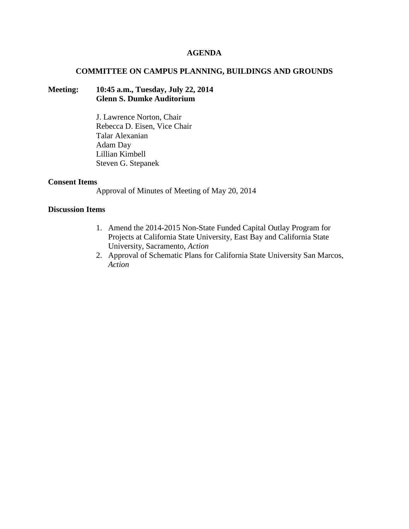## **AGENDA**

### **COMMITTEE ON CAMPUS PLANNING, BUILDINGS AND GROUNDS**

## **Meeting: 10:45 a.m., Tuesday, July 22, 2014 Glenn S. Dumke Auditorium**

J. Lawrence Norton, Chair Rebecca D. Eisen, Vice Chair Talar Alexanian Adam Day Lillian Kimbell Steven G. Stepanek

### **Consent Items**

Approval of Minutes of Meeting of May 20, 2014

## **Discussion Items**

- 1. Amend the 2014-2015 Non-State Funded Capital Outlay Program for Projects at California State University, East Bay and California State University, Sacramento, *Action*
- 2. Approval of Schematic Plans for California State University San Marcos, *Action*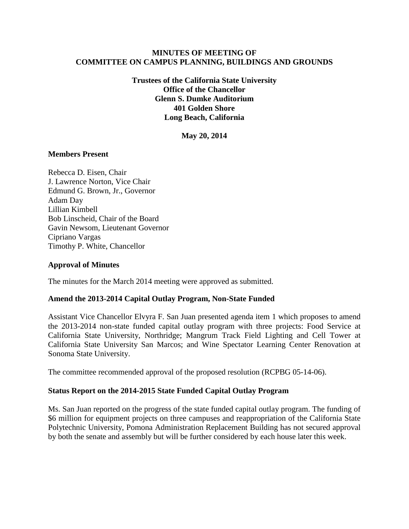## **MINUTES OF MEETING OF COMMITTEE ON CAMPUS PLANNING, BUILDINGS AND GROUNDS**

**Trustees of the California State University Office of the Chancellor Glenn S. Dumke Auditorium 401 Golden Shore Long Beach, California**

**May 20, 2014**

## **Members Present**

Rebecca D. Eisen, Chair J. Lawrence Norton, Vice Chair Edmund G. Brown, Jr., Governor Adam Day Lillian Kimbell Bob Linscheid, Chair of the Board Gavin Newsom, Lieutenant Governor Cipriano Vargas Timothy P. White, Chancellor

### **Approval of Minutes**

The minutes for the March 2014 meeting were approved as submitted.

#### **Amend the 2013-2014 Capital Outlay Program, Non-State Funded**

Assistant Vice Chancellor Elvyra F. San Juan presented agenda item 1 which proposes to amend the 2013-2014 non-state funded capital outlay program with three projects: Food Service at California State University, Northridge; Mangrum Track Field Lighting and Cell Tower at California State University San Marcos; and Wine Spectator Learning Center Renovation at Sonoma State University.

The committee recommended approval of the proposed resolution (RCPBG 05-14-06).

#### **Status Report on the 2014-2015 State Funded Capital Outlay Program**

Ms. San Juan reported on the progress of the state funded capital outlay program. The funding of \$6 million for equipment projects on three campuses and reappropriation of the California State Polytechnic University, Pomona Administration Replacement Building has not secured approval by both the senate and assembly but will be further considered by each house later this week.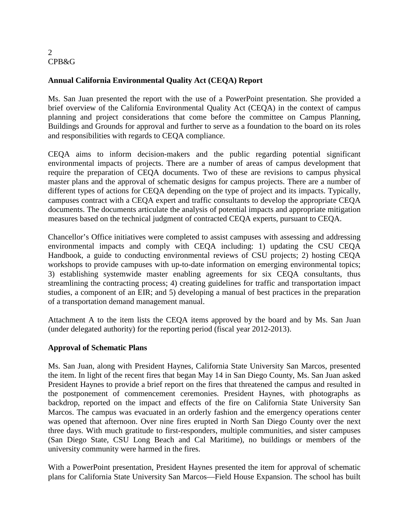# **Annual California Environmental Quality Act (CEQA) Report**

Ms. San Juan presented the report with the use of a PowerPoint presentation. She provided a brief overview of the California Environmental Quality Act (CEQA) in the context of campus planning and project considerations that come before the committee on Campus Planning, Buildings and Grounds for approval and further to serve as a foundation to the board on its roles and responsibilities with regards to CEQA compliance.

CEQA aims to inform decision-makers and the public regarding potential significant environmental impacts of projects. There are a number of areas of campus development that require the preparation of CEQA documents. Two of these are revisions to campus physical master plans and the approval of schematic designs for campus projects. There are a number of different types of actions for CEQA depending on the type of project and its impacts. Typically, campuses contract with a CEQA expert and traffic consultants to develop the appropriate CEQA documents. The documents articulate the analysis of potential impacts and appropriate mitigation measures based on the technical judgment of contracted CEQA experts, pursuant to CEQA.

Chancellor's Office initiatives were completed to assist campuses with assessing and addressing environmental impacts and comply with CEQA including: 1) updating the CSU CEQA Handbook, a guide to conducting environmental reviews of CSU projects; 2) hosting CEQA workshops to provide campuses with up-to-date information on emerging environmental topics; 3) establishing systemwide master enabling agreements for six CEQA consultants, thus streamlining the contracting process; 4) creating guidelines for traffic and transportation impact studies, a component of an EIR; and 5) developing a manual of best practices in the preparation of a transportation demand management manual.

Attachment A to the item lists the CEQA items approved by the board and by Ms. San Juan (under delegated authority) for the reporting period (fiscal year 2012-2013).

# **Approval of Schematic Plans**

Ms. San Juan, along with President Haynes, California State University San Marcos, presented the item. In light of the recent fires that began May 14 in San Diego County, Ms. San Juan asked President Haynes to provide a brief report on the fires that threatened the campus and resulted in the postponement of commencement ceremonies. President Haynes, with photographs as backdrop, reported on the impact and effects of the fire on California State University San Marcos. The campus was evacuated in an orderly fashion and the emergency operations center was opened that afternoon. Over nine fires erupted in North San Diego County over the next three days. With much gratitude to first-responders, multiple communities, and sister campuses (San Diego State, CSU Long Beach and Cal Maritime), no buildings or members of the university community were harmed in the fires.

With a PowerPoint presentation, President Haynes presented the item for approval of schematic plans for California State University San Marcos—Field House Expansion. The school has built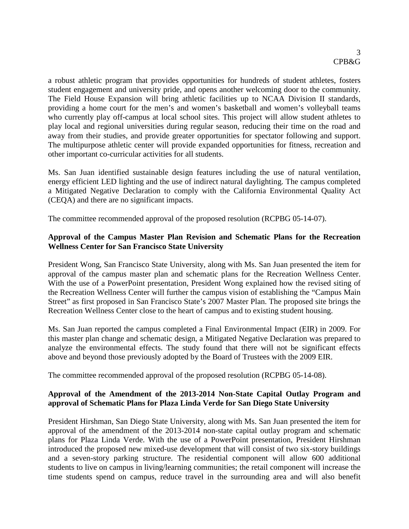a robust athletic program that provides opportunities for hundreds of student athletes, fosters student engagement and university pride, and opens another welcoming door to the community. The Field House Expansion will bring athletic facilities up to NCAA Division II standards, providing a home court for the men's and women's basketball and women's volleyball teams who currently play off-campus at local school sites. This project will allow student athletes to play local and regional universities during regular season, reducing their time on the road and away from their studies, and provide greater opportunities for spectator following and support. The multipurpose athletic center will provide expanded opportunities for fitness, recreation and other important co-curricular activities for all students.

Ms. San Juan identified sustainable design features including the use of natural ventilation, energy efficient LED lighting and the use of indirect natural daylighting. The campus completed a Mitigated Negative Declaration to comply with the California Environmental Quality Act (CEQA) and there are no significant impacts.

The committee recommended approval of the proposed resolution (RCPBG 05-14-07).

## **Approval of the Campus Master Plan Revision and Schematic Plans for the Recreation Wellness Center for San Francisco State University**

President Wong, San Francisco State University, along with Ms. San Juan presented the item for approval of the campus master plan and schematic plans for the Recreation Wellness Center. With the use of a PowerPoint presentation, President Wong explained how the revised siting of the Recreation Wellness Center will further the campus vision of establishing the "Campus Main Street" as first proposed in San Francisco State's 2007 Master Plan. The proposed site brings the Recreation Wellness Center close to the heart of campus and to existing student housing.

Ms. San Juan reported the campus completed a Final Environmental Impact (EIR) in 2009. For this master plan change and schematic design, a Mitigated Negative Declaration was prepared to analyze the environmental effects. The study found that there will not be significant effects above and beyond those previously adopted by the Board of Trustees with the 2009 EIR.

The committee recommended approval of the proposed resolution (RCPBG 05-14-08).

## **Approval of the Amendment of the 2013-2014 Non-State Capital Outlay Program and approval of Schematic Plans for Plaza Linda Verde for San Diego State University**

President Hirshman, San Diego State University, along with Ms. San Juan presented the item for approval of the amendment of the 2013-2014 non-state capital outlay program and schematic plans for Plaza Linda Verde. With the use of a PowerPoint presentation, President Hirshman introduced the proposed new mixed-use development that will consist of two six-story buildings and a seven-story parking structure. The residential component will allow 600 additional students to live on campus in living/learning communities; the retail component will increase the time students spend on campus, reduce travel in the surrounding area and will also benefit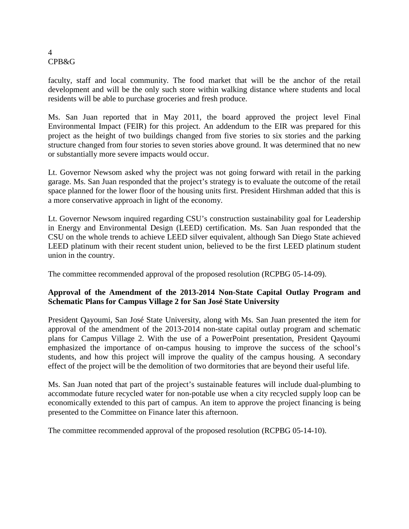faculty, staff and local community. The food market that will be the anchor of the retail development and will be the only such store within walking distance where students and local residents will be able to purchase groceries and fresh produce.

Ms. San Juan reported that in May 2011, the board approved the project level Final Environmental Impact (FEIR) for this project. An addendum to the EIR was prepared for this project as the height of two buildings changed from five stories to six stories and the parking structure changed from four stories to seven stories above ground. It was determined that no new or substantially more severe impacts would occur.

Lt. Governor Newsom asked why the project was not going forward with retail in the parking garage. Ms. San Juan responded that the project's strategy is to evaluate the outcome of the retail space planned for the lower floor of the housing units first. President Hirshman added that this is a more conservative approach in light of the economy.

Lt. Governor Newsom inquired regarding CSU's construction sustainability goal for Leadership in Energy and Environmental Design (LEED) certification. Ms. San Juan responded that the CSU on the whole trends to achieve LEED silver equivalent, although San Diego State achieved LEED platinum with their recent student union, believed to be the first LEED platinum student union in the country.

The committee recommended approval of the proposed resolution (RCPBG 05-14-09).

# **Approval of the Amendment of the 2013-2014 Non-State Capital Outlay Program and Schematic Plans for Campus Village 2 for San José State University**

President Qayoumi, San José State University, along with Ms. San Juan presented the item for approval of the amendment of the 2013-2014 non-state capital outlay program and schematic plans for Campus Village 2. With the use of a PowerPoint presentation, President Qayoumi emphasized the importance of on-campus housing to improve the success of the school's students, and how this project will improve the quality of the campus housing. A secondary effect of the project will be the demolition of two dormitories that are beyond their useful life.

Ms. San Juan noted that part of the project's sustainable features will include dual-plumbing to accommodate future recycled water for non-potable use when a city recycled supply loop can be economically extended to this part of campus. An item to approve the project financing is being presented to the Committee on Finance later this afternoon.

The committee recommended approval of the proposed resolution (RCPBG 05-14-10).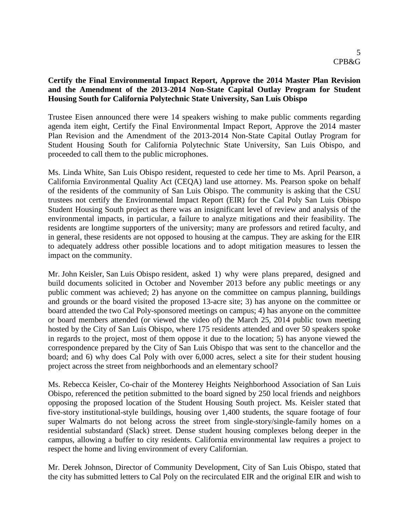## **Certify the Final Environmental Impact Report, Approve the 2014 Master Plan Revision and the Amendment of the 2013-2014 Non-State Capital Outlay Program for Student Housing South for California Polytechnic State University, San Luis Obispo**

Trustee Eisen announced there were 14 speakers wishing to make public comments regarding agenda item eight, Certify the Final Environmental Impact Report, Approve the 2014 master Plan Revision and the Amendment of the 2013-2014 Non-State Capital Outlay Program for Student Housing South for California Polytechnic State University, San Luis Obispo, and proceeded to call them to the public microphones.

Ms. Linda White, San Luis Obispo resident, requested to cede her time to Ms. April Pearson, a California Environmental Quality Act (CEQA) land use attorney. Ms. Pearson spoke on behalf of the residents of the community of San Luis Obispo. The community is asking that the CSU trustees not certify the Environmental Impact Report (EIR) for the Cal Poly San Luis Obispo Student Housing South project as there was an insignificant level of review and analysis of the environmental impacts, in particular, a failure to analyze mitigations and their feasibility. The residents are longtime supporters of the university; many are professors and retired faculty, and in general, these residents are not opposed to housing at the campus. They are asking for the EIR to adequately address other possible locations and to adopt mitigation measures to lessen the impact on the community.

Mr. John Keisler, San Luis Obispo resident, asked 1) why were plans prepared, designed and build documents solicited in October and November 2013 before any public meetings or any public comment was achieved; 2) has anyone on the committee on campus planning, buildings and grounds or the board visited the proposed 13-acre site; 3) has anyone on the committee or board attended the two Cal Poly-sponsored meetings on campus; 4) has anyone on the committee or board members attended (or viewed the video of) the March 25, 2014 public town meeting hosted by the City of San Luis Obispo, where 175 residents attended and over 50 speakers spoke in regards to the project, most of them oppose it due to the location; 5) has anyone viewed the correspondence prepared by the City of San Luis Obispo that was sent to the chancellor and the board; and 6) why does Cal Poly with over 6,000 acres, select a site for their student housing project across the street from neighborhoods and an elementary school?

Ms. Rebecca Keisler, Co-chair of the Monterey Heights Neighborhood Association of San Luis Obispo, referenced the petition submitted to the board signed by 250 local friends and neighbors opposing the proposed location of the Student Housing South project. Ms. Keisler stated that five-story institutional-style buildings, housing over 1,400 students, the square footage of four super Walmarts do not belong across the street from single-story/single-family homes on a residential substandard (Slack) street. Dense student housing complexes belong deeper in the campus, allowing a buffer to city residents. California environmental law requires a project to respect the home and living environment of every Californian.

Mr. Derek Johnson, Director of Community Development, City of San Luis Obispo, stated that the city has submitted letters to Cal Poly on the recirculated EIR and the original EIR and wish to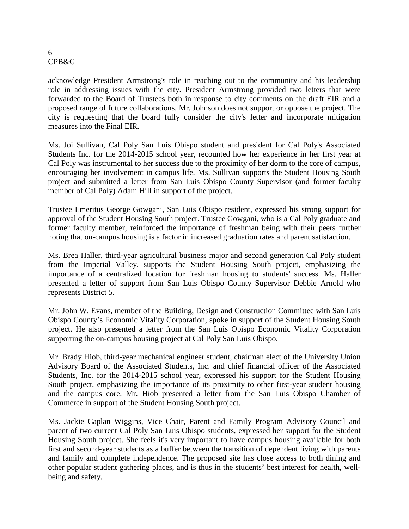acknowledge President Armstrong's role in reaching out to the community and his leadership role in addressing issues with the city. President Armstrong provided two letters that were forwarded to the Board of Trustees both in response to city comments on the draft EIR and a proposed range of future collaborations. Mr. Johnson does not support or oppose the project. The city is requesting that the board fully consider the city's letter and incorporate mitigation measures into the Final EIR.

Ms. Joi Sullivan, Cal Poly San Luis Obispo student and president for Cal Poly's Associated Students Inc. for the 2014-2015 school year, recounted how her experience in her first year at Cal Poly was instrumental to her success due to the proximity of her dorm to the core of campus, encouraging her involvement in campus life. Ms. Sullivan supports the Student Housing South project and submitted a letter from San Luis Obispo County Supervisor (and former faculty member of Cal Poly) Adam Hill in support of the project.

Trustee Emeritus George Gowgani, San Luis Obispo resident, expressed his strong support for approval of the Student Housing South project. Trustee Gowgani, who is a Cal Poly graduate and former faculty member, reinforced the importance of freshman being with their peers further noting that on-campus housing is a factor in increased graduation rates and parent satisfaction.

Ms. Brea Haller, third-year agricultural business major and second generation Cal Poly student from the Imperial Valley, supports the Student Housing South project, emphasizing the importance of a centralized location for freshman housing to students' success. Ms. Haller presented a letter of support from San Luis Obispo County Supervisor Debbie Arnold who represents District 5.

Mr. John W. Evans, member of the Building, Design and Construction Committee with San Luis Obispo County's Economic Vitality Corporation, spoke in support of the Student Housing South project. He also presented a letter from the San Luis Obispo Economic Vitality Corporation supporting the on-campus housing project at Cal Poly San Luis Obispo.

Mr. Brady Hiob, third-year mechanical engineer student, chairman elect of the University Union Advisory Board of the Associated Students, Inc. and chief financial officer of the Associated Students, Inc. for the 2014-2015 school year, expressed his support for the Student Housing South project, emphasizing the importance of its proximity to other first-year student housing and the campus core. Mr. Hiob presented a letter from the San Luis Obispo Chamber of Commerce in support of the Student Housing South project.

Ms. Jackie Caplan Wiggins, Vice Chair, Parent and Family Program Advisory Council and parent of two current Cal Poly San Luis Obispo students, expressed her support for the Student Housing South project. She feels it's very important to have campus housing available for both first and second-year students as a buffer between the transition of dependent living with parents and family and complete independence. The proposed site has close access to both dining and other popular student gathering places, and is thus in the students' best interest for health, wellbeing and safety.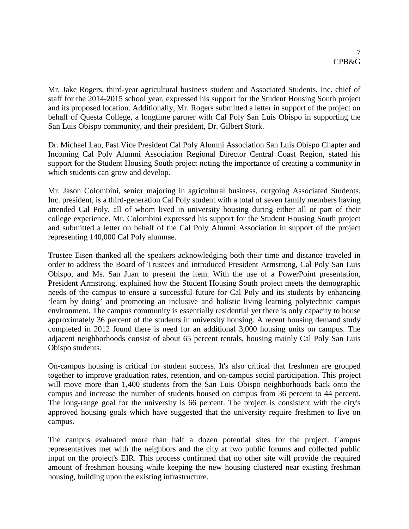Mr. Jake Rogers, third-year agricultural business student and Associated Students, Inc. chief of staff for the 2014-2015 school year, expressed his support for the Student Housing South project and its proposed location. Additionally, Mr. Rogers submitted a letter in support of the project on behalf of Questa College, a longtime partner with Cal Poly San Luis Obispo in supporting the San Luis Obispo community, and their president, Dr. Gilbert Stork.

Dr. Michael Lau, Past Vice President Cal Poly Alumni Association San Luis Obispo Chapter and Incoming Cal Poly Alumni Association Regional Director Central Coast Region, stated his support for the Student Housing South project noting the importance of creating a community in which students can grow and develop.

Mr. Jason Colombini, senior majoring in agricultural business, outgoing Associated Students, Inc. president, is a third-generation Cal Poly student with a total of seven family members having attended Cal Poly, all of whom lived in university housing during either all or part of their college experience. Mr. Colombini expressed his support for the Student Housing South project and submitted a letter on behalf of the Cal Poly Alumni Association in support of the project representing 140,000 Cal Poly alumnae.

Trustee Eisen thanked all the speakers acknowledging both their time and distance traveled in order to address the Board of Trustees and introduced President Armstrong, Cal Poly San Luis Obispo, and Ms. San Juan to present the item. With the use of a PowerPoint presentation, President Armstrong, explained how the Student Housing South project meets the demographic needs of the campus to ensure a successful future for Cal Poly and its students by enhancing 'learn by doing' and promoting an inclusive and holistic living learning polytechnic campus environment. The campus community is essentially residential yet there is only capacity to house approximately 36 percent of the students in university housing. A recent housing demand study completed in 2012 found there is need for an additional 3,000 housing units on campus. The adjacent neighborhoods consist of about 65 percent rentals, housing mainly Cal Poly San Luis Obispo students.

On-campus housing is critical for student success. It's also critical that freshmen are grouped together to improve graduation rates, retention, and on-campus social participation. This project will move more than 1,400 students from the San Luis Obispo neighborhoods back onto the campus and increase the number of students housed on campus from 36 percent to 44 percent. The long-range goal for the university is 66 percent. The project is consistent with the city's approved housing goals which have suggested that the university require freshmen to live on campus.

The campus evaluated more than half a dozen potential sites for the project. Campus representatives met with the neighbors and the city at two public forums and collected public input on the project's EIR. This process confirmed that no other site will provide the required amount of freshman housing while keeping the new housing clustered near existing freshman housing, building upon the existing infrastructure.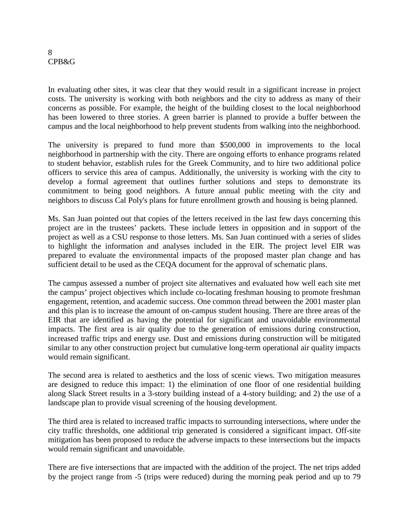In evaluating other sites, it was clear that they would result in a significant increase in project costs. The university is working with both neighbors and the city to address as many of their concerns as possible. For example, the height of the building closest to the local neighborhood has been lowered to three stories. A green barrier is planned to provide a buffer between the campus and the local neighborhood to help prevent students from walking into the neighborhood.

The university is prepared to fund more than \$500,000 in improvements to the local neighborhood in partnership with the city. There are ongoing efforts to enhance programs related to student behavior, establish rules for the Greek Community, and to hire two additional police officers to service this area of campus. Additionally, the university is working with the city to develop a formal agreement that outlines further solutions and steps to demonstrate its commitment to being good neighbors. A future annual public meeting with the city and neighbors to discuss Cal Poly's plans for future enrollment growth and housing is being planned.

Ms. San Juan pointed out that copies of the letters received in the last few days concerning this project are in the trustees' packets. These include letters in opposition and in support of the project as well as a CSU response to those letters. Ms. San Juan continued with a series of slides to highlight the information and analyses included in the EIR. The project level EIR was prepared to evaluate the environmental impacts of the proposed master plan change and has sufficient detail to be used as the CEQA document for the approval of schematic plans.

The campus assessed a number of project site alternatives and evaluated how well each site met the campus' project objectives which include co-locating freshman housing to promote freshman engagement, retention, and academic success. One common thread between the 2001 master plan and this plan is to increase the amount of on-campus student housing. There are three areas of the EIR that are identified as having the potential for significant and unavoidable environmental impacts. The first area is air quality due to the generation of emissions during construction, increased traffic trips and energy use. Dust and emissions during construction will be mitigated similar to any other construction project but cumulative long-term operational air quality impacts would remain significant.

The second area is related to aesthetics and the loss of scenic views. Two mitigation measures are designed to reduce this impact: 1) the elimination of one floor of one residential building along Slack Street results in a 3-story building instead of a 4-story building; and 2) the use of a landscape plan to provide visual screening of the housing development.

The third area is related to increased traffic impacts to surrounding intersections, where under the city traffic thresholds, one additional trip generated is considered a significant impact. Off-site mitigation has been proposed to reduce the adverse impacts to these intersections but the impacts would remain significant and unavoidable.

There are five intersections that are impacted with the addition of the project. The net trips added by the project range from -5 (trips were reduced) during the morning peak period and up to 79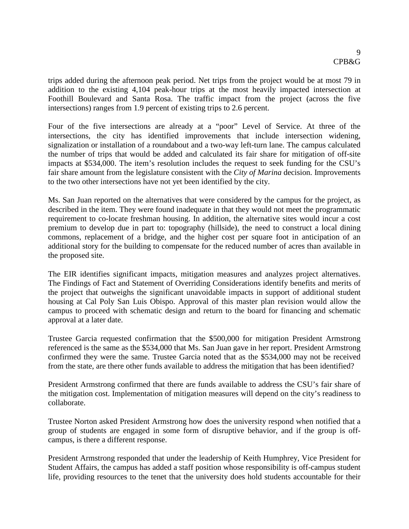trips added during the afternoon peak period. Net trips from the project would be at most 79 in addition to the existing 4,104 peak-hour trips at the most heavily impacted intersection at Foothill Boulevard and Santa Rosa. The traffic impact from the project (across the five intersections) ranges from 1.9 percent of existing trips to 2.6 percent.

Four of the five intersections are already at a "poor" Level of Service. At three of the intersections, the city has identified improvements that include intersection widening, signalization or installation of a roundabout and a two-way left-turn lane. The campus calculated the number of trips that would be added and calculated its fair share for mitigation of off-site impacts at \$534,000. The item's resolution includes the request to seek funding for the CSU's fair share amount from the legislature consistent with the *City of Marina* decision. Improvements to the two other intersections have not yet been identified by the city.

Ms. San Juan reported on the alternatives that were considered by the campus for the project, as described in the item. They were found inadequate in that they would not meet the programmatic requirement to co-locate freshman housing. In addition, the alternative sites would incur a cost premium to develop due in part to: topography (hillside), the need to construct a local dining commons, replacement of a bridge, and the higher cost per square foot in anticipation of an additional story for the building to compensate for the reduced number of acres than available in the proposed site.

The EIR identifies significant impacts, mitigation measures and analyzes project alternatives. The Findings of Fact and Statement of Overriding Considerations identify benefits and merits of the project that outweighs the significant unavoidable impacts in support of additional student housing at Cal Poly San Luis Obispo. Approval of this master plan revision would allow the campus to proceed with schematic design and return to the board for financing and schematic approval at a later date.

Trustee Garcia requested confirmation that the \$500,000 for mitigation President Armstrong referenced is the same as the \$534,000 that Ms. San Juan gave in her report. President Armstrong confirmed they were the same. Trustee Garcia noted that as the \$534,000 may not be received from the state, are there other funds available to address the mitigation that has been identified?

President Armstrong confirmed that there are funds available to address the CSU's fair share of the mitigation cost. Implementation of mitigation measures will depend on the city's readiness to collaborate.

Trustee Norton asked President Armstrong how does the university respond when notified that a group of students are engaged in some form of disruptive behavior, and if the group is offcampus, is there a different response.

President Armstrong responded that under the leadership of Keith Humphrey, Vice President for Student Affairs, the campus has added a staff position whose responsibility is off-campus student life, providing resources to the tenet that the university does hold students accountable for their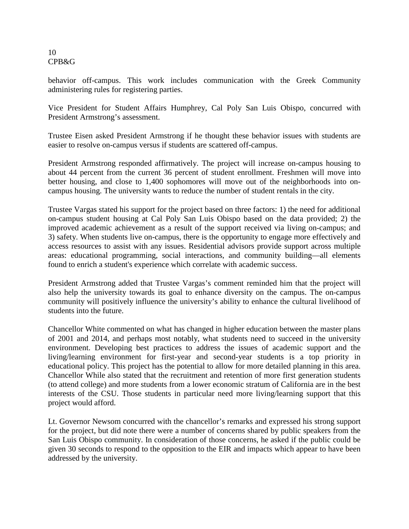behavior off-campus. This work includes communication with the Greek Community administering rules for registering parties.

Vice President for Student Affairs Humphrey, Cal Poly San Luis Obispo, concurred with President Armstrong's assessment.

Trustee Eisen asked President Armstrong if he thought these behavior issues with students are easier to resolve on-campus versus if students are scattered off-campus.

President Armstrong responded affirmatively. The project will increase on-campus housing to about 44 percent from the current 36 percent of student enrollment. Freshmen will move into better housing, and close to 1,400 sophomores will move out of the neighborhoods into oncampus housing. The university wants to reduce the number of student rentals in the city.

Trustee Vargas stated his support for the project based on three factors: 1) the need for additional on-campus student housing at Cal Poly San Luis Obispo based on the data provided; 2) the improved academic achievement as a result of the support received via living on-campus; and 3) safety. When students live on-campus, there is the opportunity to engage more effectively and access resources to assist with any issues. Residential advisors provide support across multiple areas: educational programming, social interactions, and community building—all elements found to enrich a student's experience which correlate with academic success.

President Armstrong added that Trustee Vargas's comment reminded him that the project will also help the university towards its goal to enhance diversity on the campus. The on-campus community will positively influence the university's ability to enhance the cultural livelihood of students into the future.

Chancellor White commented on what has changed in higher education between the master plans of 2001 and 2014, and perhaps most notably, what students need to succeed in the university environment. Developing best practices to address the issues of academic support and the living/learning environment for first-year and second-year students is a top priority in educational policy. This project has the potential to allow for more detailed planning in this area. Chancellor While also stated that the recruitment and retention of more first generation students (to attend college) and more students from a lower economic stratum of California are in the best interests of the CSU. Those students in particular need more living/learning support that this project would afford.

Lt. Governor Newsom concurred with the chancellor's remarks and expressed his strong support for the project, but did note there were a number of concerns shared by public speakers from the San Luis Obispo community. In consideration of those concerns, he asked if the public could be given 30 seconds to respond to the opposition to the EIR and impacts which appear to have been addressed by the university.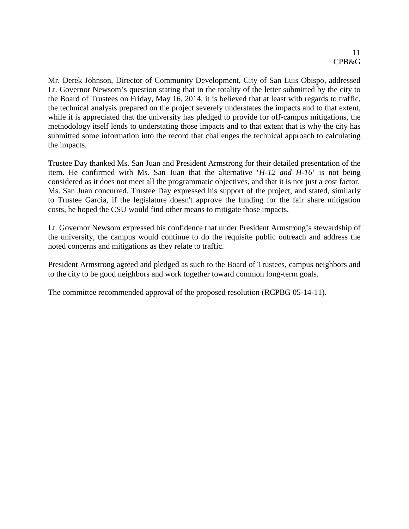Mr. Derek Johnson, Director of Community Development, City of San Luis Obispo, addressed Lt. Governor Newsom's question stating that in the totality of the letter submitted by the city to the Board of Trustees on Friday, May 16, 2014, it is believed that at least with regards to traffic, the technical analysis prepared on the project severely understates the impacts and to that extent, while it is appreciated that the university has pledged to provide for off-campus mitigations, the methodology itself lends to understating those impacts and to that extent that is why the city has submitted some information into the record that challenges the technical approach to calculating the impacts.

Trustee Day thanked Ms. San Juan and President Armstrong for their detailed presentation of the item. He confirmed with Ms. San Juan that the alternative '*H-12 and H-16*' is not being considered as it does not meet all the programmatic objectives, and that it is not just a cost factor. Ms. San Juan concurred. Trustee Day expressed his support of the project, and stated, similarly to Trustee Garcia, if the legislature doesn't approve the funding for the fair share mitigation costs, he hoped the CSU would find other means to mitigate those impacts.

Lt. Governor Newsom expressed his confidence that under President Armstrong's stewardship of the university, the campus would continue to do the requisite public outreach and address the noted concerns and mitigations as they relate to traffic.

President Armstrong agreed and pledged as such to the Board of Trustees, campus neighbors and to the city to be good neighbors and work together toward common long-term goals.

The committee recommended approval of the proposed resolution (RCPBG 05-14-11).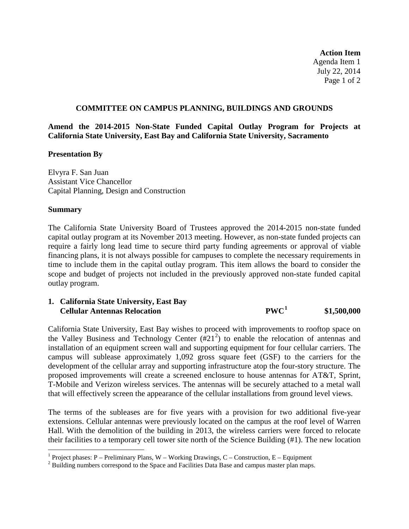**Action Item** Agenda Item 1 July 22, 2014 Page 1 of 2

#### **COMMITTEE ON CAMPUS PLANNING, BUILDINGS AND GROUNDS**

**Amend the 2014-2015 Non-State Funded Capital Outlay Program for Projects at California State University, East Bay and California State University, Sacramento**

#### **Presentation By**

Elvyra F. San Juan Assistant Vice Chancellor Capital Planning, Design and Construction

#### **Summary**

The California State University Board of Trustees approved the 2014-2015 non-state funded capital outlay program at its November 2013 meeting. However, as non-state funded projects can require a fairly long lead time to secure third party funding agreements or approval of viable financing plans, it is not always possible for campuses to complete the necessary requirements in time to include them in the capital outlay program. This item allows the board to consider the scope and budget of projects not included in the previously approved non-state funded capital outlay program.

## **1. California State University, East Bay Cellular Antennas Relocation PWC[1](#page-12-0) \$1,500,000**

California State University, East Bay wishes to proceed with improvements to rooftop space on the Valley Business and Technology Center  $(\#21^2)$  $(\#21^2)$  $(\#21^2)$  to enable the relocation of antennas and installation of an equipment screen wall and supporting equipment for four cellular carriers. The campus will sublease approximately 1,092 gross square feet (GSF) to the carriers for the development of the cellular array and supporting infrastructure atop the four-story structure. The proposed improvements will create a screened enclosure to house antennas for AT&T, Sprint, T-Mobile and Verizon wireless services. The antennas will be securely attached to a metal wall that will effectively screen the appearance of the cellular installations from ground level views.

The terms of the subleases are for five years with a provision for two additional five-year extensions. Cellular antennas were previously located on the campus at the roof level of Warren Hall. With the demolition of the building in 2013, the wireless carriers were forced to relocate their facilities to a temporary cell tower site north of the Science Building (#1). The new location

<span id="page-12-0"></span><sup>&</sup>lt;sup>1</sup> Project phases: P – Preliminary Plans, W – Working Drawings, C – Construction, E – Equipment <sup>2</sup> Building numbers correspond to the Space and Facilities Data Base and campus master plan maps.

<span id="page-12-1"></span>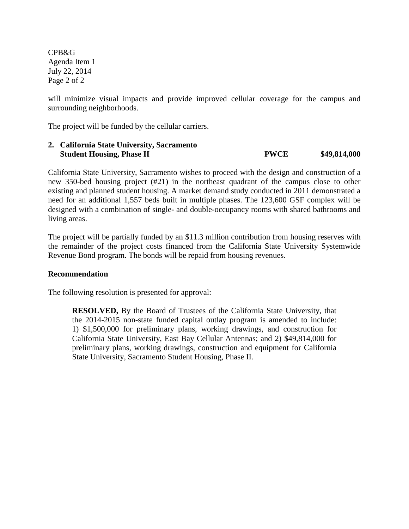CPB&G Agenda Item 1 July 22, 2014 Page 2 of 2

will minimize visual impacts and provide improved cellular coverage for the campus and surrounding neighborhoods.

The project will be funded by the cellular carriers.

## **2. California State University, Sacramento Student Housing, Phase II PWCE \$49,814,000**

California State University, Sacramento wishes to proceed with the design and construction of a new 350-bed housing project (#21) in the northeast quadrant of the campus close to other existing and planned student housing. A market demand study conducted in 2011 demonstrated a need for an additional 1,557 beds built in multiple phases. The 123,600 GSF complex will be designed with a combination of single- and double-occupancy rooms with shared bathrooms and living areas.

The project will be partially funded by an \$11.3 million contribution from housing reserves with the remainder of the project costs financed from the California State University Systemwide Revenue Bond program. The bonds will be repaid from housing revenues.

#### **Recommendation**

The following resolution is presented for approval:

**RESOLVED,** By the Board of Trustees of the California State University, that the 2014-2015 non-state funded capital outlay program is amended to include: 1) \$1,500,000 for preliminary plans, working drawings, and construction for California State University, East Bay Cellular Antennas; and 2) \$49,814,000 for preliminary plans, working drawings, construction and equipment for California State University, Sacramento Student Housing, Phase II.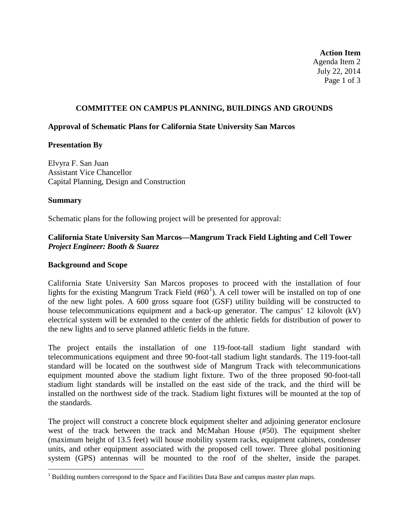**Action Item** Agenda Item 2 July 22, 2014 Page 1 of 3

## **COMMITTEE ON CAMPUS PLANNING, BUILDINGS AND GROUNDS**

#### **Approval of Schematic Plans for California State University San Marcos**

## **Presentation By**

Elvyra F. San Juan Assistant Vice Chancellor Capital Planning, Design and Construction

## **Summary**

Schematic plans for the following project will be presented for approval:

## **California State University San Marcos—Mangrum Track Field Lighting and Cell Tower** *Project Engineer: Booth & Suarez*

### **Background and Scope**

California State University San Marcos proposes to proceed with the installation of four lights for the existing Mangrum Track Field  $(\#60^1)$  $(\#60^1)$  $(\#60^1)$ . A cell tower will be installed on top of one of the new light poles. A 600 gross square foot (GSF) utility building will be constructed to house telecommunications equipment and a back-up generator. The campus' 12 kilovolt (kV) electrical system will be extended to the center of the athletic fields for distribution of power to the new lights and to serve planned athletic fields in the future.

The project entails the installation of one 119-foot-tall stadium light standard with telecommunications equipment and three 90-foot-tall stadium light standards. The 119-foot-tall standard will be located on the southwest side of Mangrum Track with telecommunications equipment mounted above the stadium light fixture. Two of the three proposed 90-foot-tall stadium light standards will be installed on the east side of the track, and the third will be installed on the northwest side of the track. Stadium light fixtures will be mounted at the top of the standards.

The project will construct a concrete block equipment shelter and adjoining generator enclosure west of the track between the track and McMahan House (#50). The equipment shelter (maximum height of 13.5 feet) will house mobility system racks, equipment cabinets, condenser units, and other equipment associated with the proposed cell tower. Three global positioning system (GPS) antennas will be mounted to the roof of the shelter, inside the parapet.

<span id="page-14-1"></span><span id="page-14-0"></span><sup>&</sup>lt;sup>1</sup> Building numbers correspond to the Space and Facilities Data Base and campus master plan maps.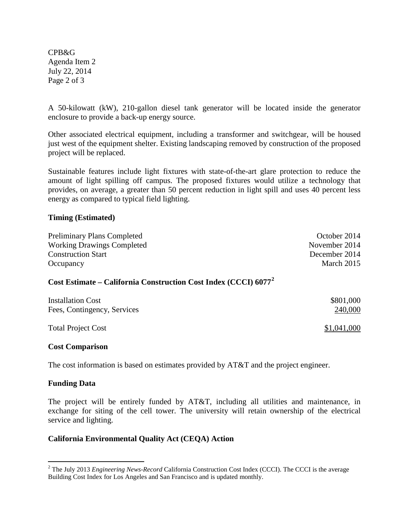CPB&G Agenda Item 2 July 22, 2014 Page 2 of 3

A 50-kilowatt (kW), 210-gallon diesel tank generator will be located inside the generator enclosure to provide a back-up energy source.

Other associated electrical equipment, including a transformer and switchgear, will be housed just west of the equipment shelter. Existing landscaping removed by construction of the proposed project will be replaced.

Sustainable features include light fixtures with state-of-the-art glare protection to reduce the amount of light spilling off campus. The proposed fixtures would utilize a technology that provides, on average, a greater than 50 percent reduction in light spill and uses 40 percent less energy as compared to typical field lighting.

## **Timing (Estimated)**

| <b>Preliminary Plans Completed</b>                                          | October 2014  |
|-----------------------------------------------------------------------------|---------------|
| <b>Working Drawings Completed</b>                                           | November 2014 |
| <b>Construction Start</b>                                                   | December 2014 |
| Occupancy                                                                   | March 2015    |
| Cost Estimate – California Construction Cost Index (CCCI) 6077 <sup>2</sup> |               |
| <b>Installation Cost</b>                                                    | \$801,000     |
| Fees, Contingency, Services                                                 | 240,000       |
|                                                                             |               |

Total Project Cost  $$1,041,000$ 

#### **Cost Comparison**

The cost information is based on estimates provided by AT&T and the project engineer.

#### **Funding Data**

The project will be entirely funded by AT&T, including all utilities and maintenance, in exchange for siting of the cell tower. The university will retain ownership of the electrical service and lighting.

## **California Environmental Quality Act (CEQA) Action**

<sup>&</sup>lt;sup>2</sup> The July 2013 *Engineering News-Record* California Construction Cost Index (CCCI). The CCCI is the average Building Cost Index for Los Angeles and San Francisco and is updated monthly.